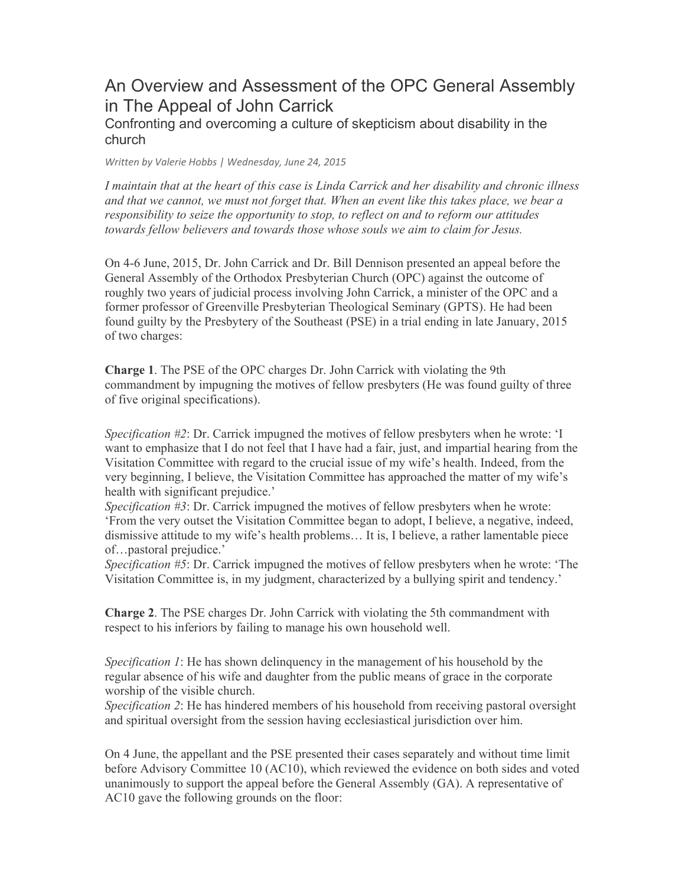# An Overview and Assessment of the OPC General Assembly in The Appeal of John Carrick

## Confronting and overcoming a culture of skepticism about disability in the church

*Written by Valerie Hobbs | Wednesday, June 24, 2015*

*I maintain that at the heart of this case is Linda Carrick and her disability and chronic illness and that we cannot, we must not forget that. When an event like this takes place, we bear a responsibility to seize the opportunity to stop, to reflect on and to reform our attitudes towards fellow believers and towards those whose souls we aim to claim for Jesus.*

On 4-6 June, 2015, Dr. John Carrick and Dr. Bill Dennison presented an appeal before the General Assembly of the Orthodox Presbyterian Church (OPC) against the outcome of roughly two years of judicial process involving John Carrick, a minister of the OPC and a former professor of Greenville Presbyterian Theological Seminary (GPTS). He had been found guilty by the Presbytery of the Southeast (PSE) in a trial ending in late January, 2015 of two charges:

**Charge 1**. The PSE of the OPC charges Dr. John Carrick with violating the 9th commandment by impugning the motives of fellow presbyters (He was found guilty of three of five original specifications).

*Specification #2*: Dr. Carrick impugned the motives of fellow presbyters when he wrote: 'I want to emphasize that I do not feel that I have had a fair, just, and impartial hearing from the Visitation Committee with regard to the crucial issue of my wife's health. Indeed, from the very beginning, I believe, the Visitation Committee has approached the matter of my wife's health with significant prejudice.'

*Specification #3*: Dr. Carrick impugned the motives of fellow presbyters when he wrote: 'From the very outset the Visitation Committee began to adopt, I believe, a negative, indeed, dismissive attitude to my wife's health problems… It is, I believe, a rather lamentable piece of…pastoral prejudice.'

*Specification #5*: Dr. Carrick impugned the motives of fellow presbyters when he wrote: 'The Visitation Committee is, in my judgment, characterized by a bullying spirit and tendency.'

**Charge 2**. The PSE charges Dr. John Carrick with violating the 5th commandment with respect to his inferiors by failing to manage his own household well.

*Specification 1*: He has shown delinquency in the management of his household by the regular absence of his wife and daughter from the public means of grace in the corporate worship of the visible church.

*Specification 2*: He has hindered members of his household from receiving pastoral oversight and spiritual oversight from the session having ecclesiastical jurisdiction over him.

On 4 June, the appellant and the PSE presented their cases separately and without time limit before Advisory Committee 10 (AC10), which reviewed the evidence on both sides and voted unanimously to support the appeal before the General Assembly (GA). A representative of AC10 gave the following grounds on the floor: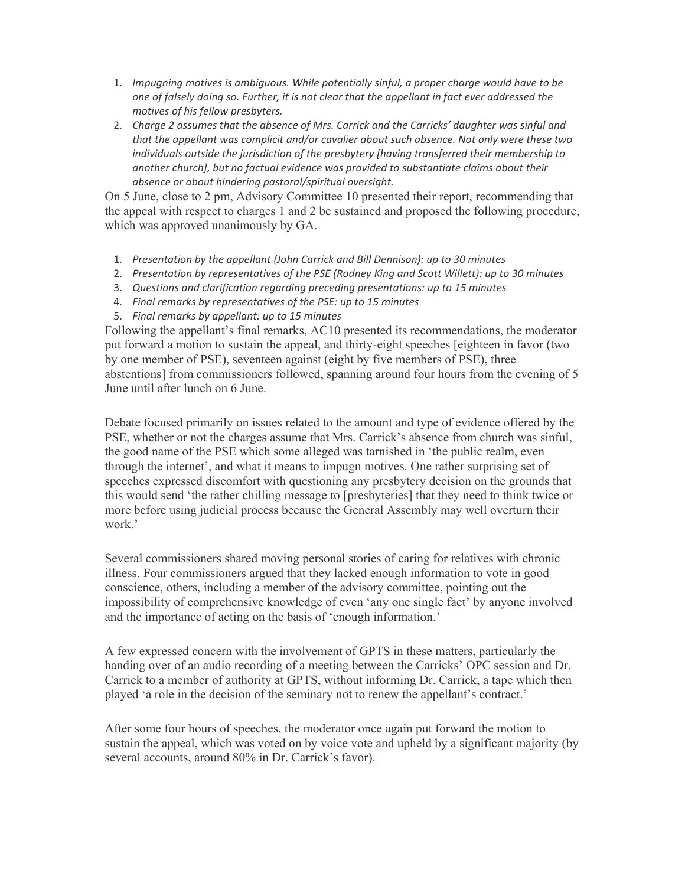- 1. *Impugning motives is ambiguous. While potentially sinful, a proper charge would have to be one of falsely doing so. Further, it is not clear that the appellant in fact ever addressed the motives of his fellow presbyters.*
- 2. *Charge 2 assumes that the absence of Mrs. Carrick and the Carricks' daughter was sinful and that the appellant was complicit and/or cavalier about such absence. Not only were these two individuals outside the jurisdiction of the presbytery [having transferred their membership to another church], but no factual evidence was provided to substantiate claims about their absence or about hindering pastoral/spiritual oversight.*

On 5 June, close to 2 pm, Advisory Committee 10 presented their report, recommending that the appeal with respect to charges 1 and 2 be sustained and proposed the following procedure, which was approved unanimously by GA.

- 1. *Presentation by the appellant (John Carrick and Bill Dennison): up to 30 minutes*
- 2. *Presentation by representatives of the PSE (Rodney King and Scott Willett): up to 30 minutes*
- 3. *Questions and clarification regarding preceding presentations: up to 15 minutes*
- 4. *Final remarks by representatives of the PSE: up to 15 minutes*
- 5. *Final remarks by appellant: up to 15 minutes*

Following the appellant's final remarks, AC10 presented its recommendations, the moderator put forward a motion to sustain the appeal, and thirty-eight speeches [eighteen in favor (two by one member of PSE), seventeen against (eight by five members of PSE), three abstentions] from commissioners followed, spanning around four hours from the evening of 5 June until after lunch on 6 June.

Debate focused primarily on issues related to the amount and type of evidence offered by the PSE, whether or not the charges assume that Mrs. Carrick's absence from church was sinful, the good name of the PSE which some alleged was tarnished in 'the public realm, even through the internet', and what it means to impugn motives. One rather surprising set of speeches expressed discomfort with questioning any presbytery decision on the grounds that this would send 'the rather chilling message to [presbyteries] that they need to think twice or more before using judicial process because the General Assembly may well overturn their work.'

Several commissioners shared moving personal stories of caring for relatives with chronic illness. Four commissioners argued that they lacked enough information to vote in good conscience, others, including a member of the advisory committee, pointing out the impossibility of comprehensive knowledge of even 'any one single fact' by anyone involved and the importance of acting on the basis of 'enough information.'

A few expressed concern with the involvement of GPTS in these matters, particularly the handing over of an audio recording of a meeting between the Carricks' OPC session and Dr. Carrick to a member of authority at GPTS, without informing Dr. Carrick, a tape which then played 'a role in the decision of the seminary not to renew the appellant's contract.'

After some four hours of speeches, the moderator once again put forward the motion to sustain the appeal, which was voted on by voice vote and upheld by a significant majority (by several accounts, around 80% in Dr. Carrick's favor).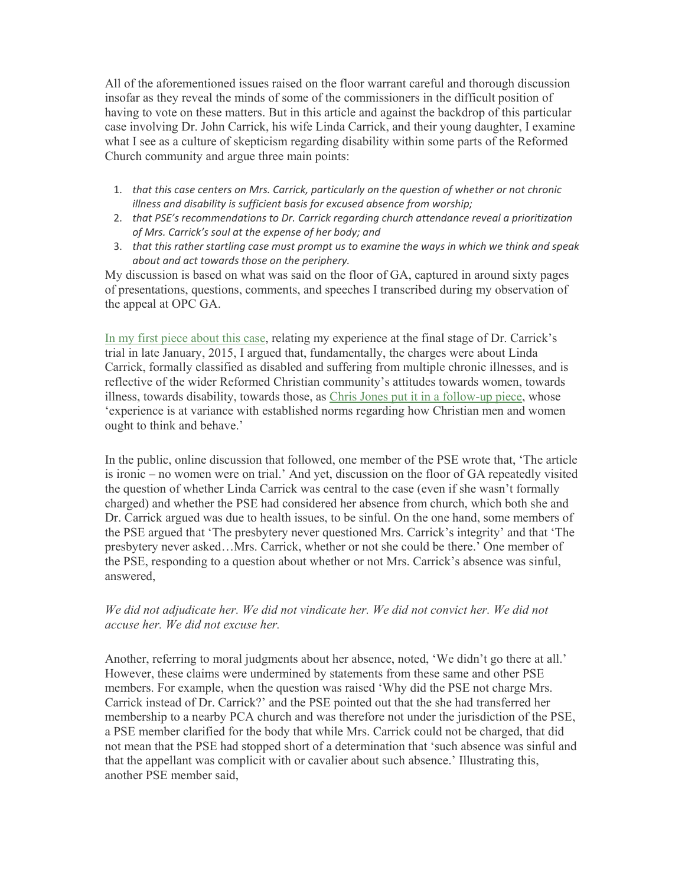All of the aforementioned issues raised on the floor warrant careful and thorough discussion insofar as they reveal the minds of some of the commissioners in the difficult position of having to vote on these matters. But in this article and against the backdrop of this particular case involving Dr. John Carrick, his wife Linda Carrick, and their young daughter, I examine what I see as a culture of skepticism regarding disability within some parts of the Reformed Church community and argue three main points:

- 1. *that this case centers on Mrs. Carrick, particularly on the question of whether or not chronic illness and disability is sufficient basis for excused absence from worship;*
- 2. *that PSE's recommendations to Dr. Carrick regarding church attendance reveal a prioritization of Mrs. Carrick's soul at the expense of her body; and*
- 3. *that this rather startling case must prompt us to examine the ways in which we think and speak about and act towards those on the periphery.*

My discussion is based on what was said on the floor of GA, captured in around sixty pages of presentations, questions, comments, and speeches I transcribed during my observation of the appeal at OPC GA.

In my first piece about this case, relating my experience at the final stage of Dr. Carrick's trial in late January, 2015, I argued that, fundamentally, the charges were about Linda Carrick, formally classified as disabled and suffering from multiple chronic illnesses, and is reflective of the wider Reformed Christian community's attitudes towards women, towards illness, towards disability, towards those, as Chris Jones put it in a follow-up piece, whose 'experience is at variance with established norms regarding how Christian men and women ought to think and behave.'

In the public, online discussion that followed, one member of the PSE wrote that, 'The article is ironic – no women were on trial.' And yet, discussion on the floor of GA repeatedly visited the question of whether Linda Carrick was central to the case (even if she wasn't formally charged) and whether the PSE had considered her absence from church, which both she and Dr. Carrick argued was due to health issues, to be sinful. On the one hand, some members of the PSE argued that 'The presbytery never questioned Mrs. Carrick's integrity' and that 'The presbytery never asked…Mrs. Carrick, whether or not she could be there.' One member of the PSE, responding to a question about whether or not Mrs. Carrick's absence was sinful, answered,

### *We did not adjudicate her. We did not vindicate her. We did not convict her. We did not accuse her. We did not excuse her.*

Another, referring to moral judgments about her absence, noted, 'We didn't go there at all.' However, these claims were undermined by statements from these same and other PSE members. For example, when the question was raised 'Why did the PSE not charge Mrs. Carrick instead of Dr. Carrick?' and the PSE pointed out that the she had transferred her membership to a nearby PCA church and was therefore not under the jurisdiction of the PSE, a PSE member clarified for the body that while Mrs. Carrick could not be charged, that did not mean that the PSE had stopped short of a determination that 'such absence was sinful and that the appellant was complicit with or cavalier about such absence.' Illustrating this, another PSE member said,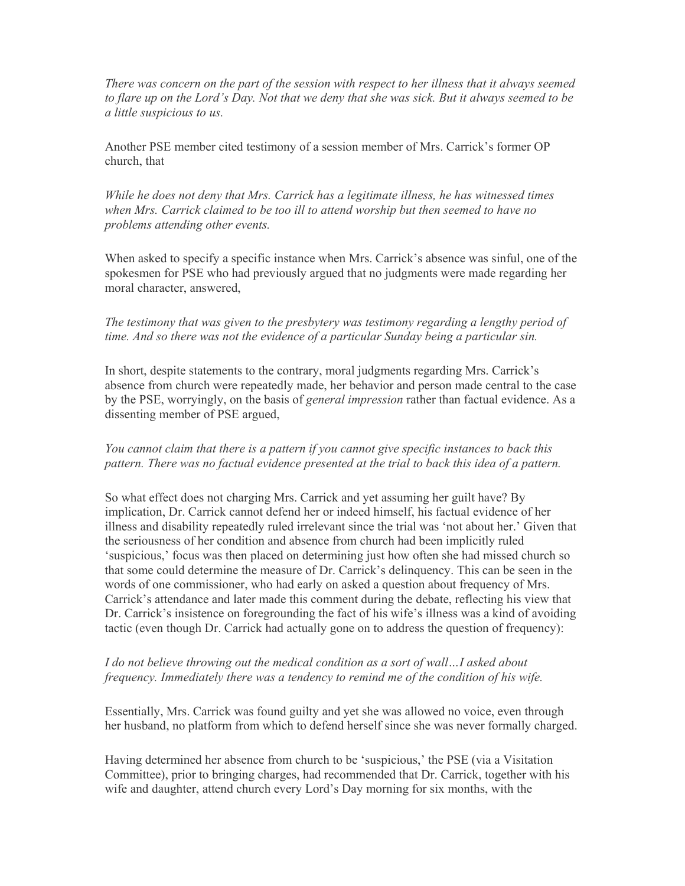*There was concern on the part of the session with respect to her illness that it always seemed to flare up on the Lord's Day. Not that we deny that she was sick. But it always seemed to be a little suspicious to us.*

Another PSE member cited testimony of a session member of Mrs. Carrick's former OP church, that

*While he does not deny that Mrs. Carrick has a legitimate illness, he has witnessed times when Mrs. Carrick claimed to be too ill to attend worship but then seemed to have no problems attending other events.*

When asked to specify a specific instance when Mrs. Carrick's absence was sinful, one of the spokesmen for PSE who had previously argued that no judgments were made regarding her moral character, answered,

*The testimony that was given to the presbytery was testimony regarding a lengthy period of time. And so there was not the evidence of a particular Sunday being a particular sin.*

In short, despite statements to the contrary, moral judgments regarding Mrs. Carrick's absence from church were repeatedly made, her behavior and person made central to the case by the PSE, worryingly, on the basis of *general impression* rather than factual evidence. As a dissenting member of PSE argued,

### *You cannot claim that there is a pattern if you cannot give specific instances to back this pattern. There was no factual evidence presented at the trial to back this idea of a pattern.*

So what effect does not charging Mrs. Carrick and yet assuming her guilt have? By implication, Dr. Carrick cannot defend her or indeed himself, his factual evidence of her illness and disability repeatedly ruled irrelevant since the trial was 'not about her.' Given that the seriousness of her condition and absence from church had been implicitly ruled 'suspicious,' focus was then placed on determining just how often she had missed church so that some could determine the measure of Dr. Carrick's delinquency. This can be seen in the words of one commissioner, who had early on asked a question about frequency of Mrs. Carrick's attendance and later made this comment during the debate, reflecting his view that Dr. Carrick's insistence on foregrounding the fact of his wife's illness was a kind of avoiding tactic (even though Dr. Carrick had actually gone on to address the question of frequency):

### *I do not believe throwing out the medical condition as a sort of wall…I asked about frequency. Immediately there was a tendency to remind me of the condition of his wife.*

Essentially, Mrs. Carrick was found guilty and yet she was allowed no voice, even through her husband, no platform from which to defend herself since she was never formally charged.

Having determined her absence from church to be 'suspicious,' the PSE (via a Visitation Committee), prior to bringing charges, had recommended that Dr. Carrick, together with his wife and daughter, attend church every Lord's Day morning for six months, with the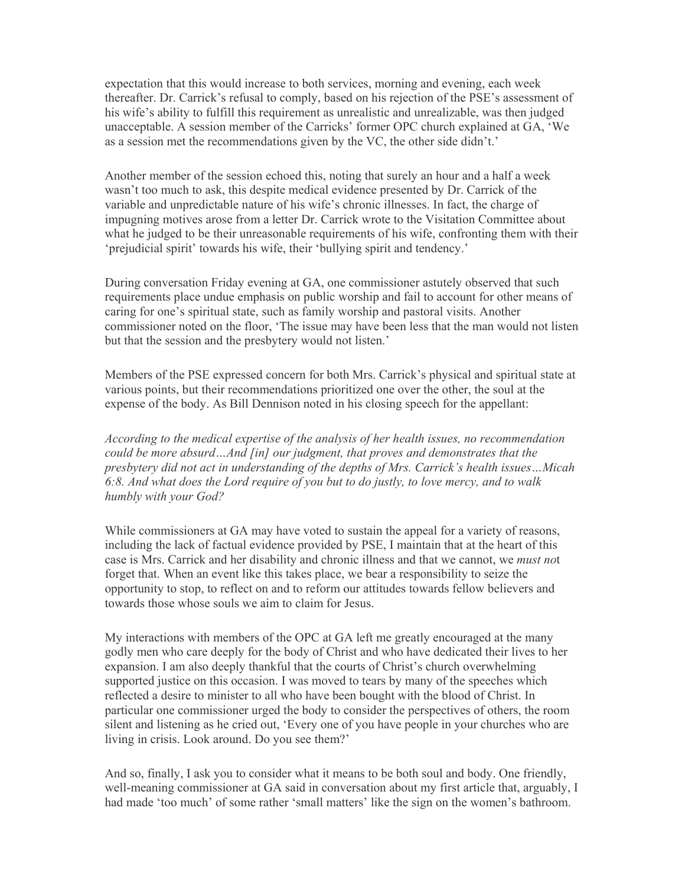expectation that this would increase to both services, morning and evening, each week thereafter. Dr. Carrick's refusal to comply, based on his rejection of the PSE's assessment of his wife's ability to fulfill this requirement as unrealistic and unrealizable, was then judged unacceptable. A session member of the Carricks' former OPC church explained at GA, 'We as a session met the recommendations given by the VC, the other side didn't.'

Another member of the session echoed this, noting that surely an hour and a half a week wasn't too much to ask, this despite medical evidence presented by Dr. Carrick of the variable and unpredictable nature of his wife's chronic illnesses. In fact, the charge of impugning motives arose from a letter Dr. Carrick wrote to the Visitation Committee about what he judged to be their unreasonable requirements of his wife, confronting them with their 'prejudicial spirit' towards his wife, their 'bullying spirit and tendency.'

During conversation Friday evening at GA, one commissioner astutely observed that such requirements place undue emphasis on public worship and fail to account for other means of caring for one's spiritual state, such as family worship and pastoral visits. Another commissioner noted on the floor, 'The issue may have been less that the man would not listen but that the session and the presbytery would not listen.'

Members of the PSE expressed concern for both Mrs. Carrick's physical and spiritual state at various points, but their recommendations prioritized one over the other, the soul at the expense of the body. As Bill Dennison noted in his closing speech for the appellant:

*According to the medical expertise of the analysis of her health issues, no recommendation could be more absurd…And [in] our judgment, that proves and demonstrates that the presbytery did not act in understanding of the depths of Mrs. Carrick's health issues…Micah 6:8. And what does the Lord require of you but to do justly, to love mercy, and to walk humbly with your God?*

While commissioners at GA may have voted to sustain the appeal for a variety of reasons, including the lack of factual evidence provided by PSE, I maintain that at the heart of this case is Mrs. Carrick and her disability and chronic illness and that we cannot, we *must no*t forget that. When an event like this takes place, we bear a responsibility to seize the opportunity to stop, to reflect on and to reform our attitudes towards fellow believers and towards those whose souls we aim to claim for Jesus.

My interactions with members of the OPC at GA left me greatly encouraged at the many godly men who care deeply for the body of Christ and who have dedicated their lives to her expansion. I am also deeply thankful that the courts of Christ's church overwhelming supported justice on this occasion. I was moved to tears by many of the speeches which reflected a desire to minister to all who have been bought with the blood of Christ. In particular one commissioner urged the body to consider the perspectives of others, the room silent and listening as he cried out, 'Every one of you have people in your churches who are living in crisis. Look around. Do you see them?'

And so, finally, I ask you to consider what it means to be both soul and body. One friendly, well-meaning commissioner at GA said in conversation about my first article that, arguably, I had made 'too much' of some rather 'small matters' like the sign on the women's bathroom.